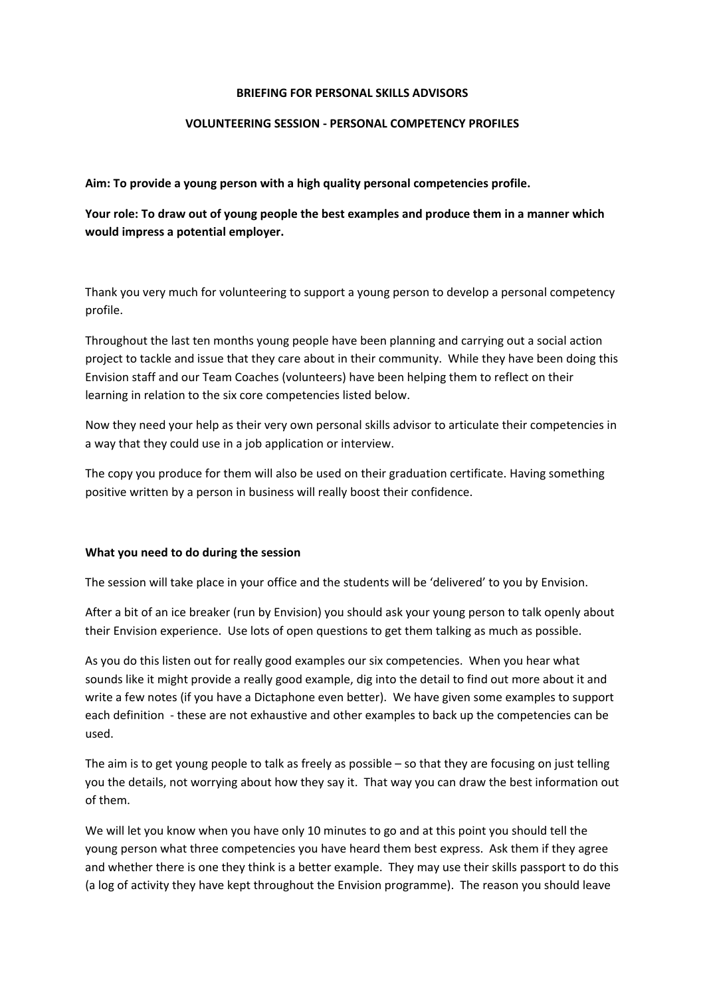#### **BRIEFING FOR PERSONAL SKILLS ADVISORS**

#### **VOLUNTEERING SESSION ‐ PERSONAL COMPETENCY PROFILES**

**Aim: To provide a young person with a high quality personal competencies profile.**

**Your role: To draw out of young people the best examples and produce them in a manner which would impress a potential employer.** 

Thank you very much for volunteering to support a young person to develop a personal competency profile.

Throughout the last ten months young people have been planning and carrying out a social action project to tackle and issue that they care about in their community. While they have been doing this Envision staff and our Team Coaches (volunteers) have been helping them to reflect on their learning in relation to the six core competencies listed below.

Now they need your help as their very own personal skills advisor to articulate their competencies in a way that they could use in a job application or interview.

The copy you produce for them will also be used on their graduation certificate. Having something positive written by a person in business will really boost their confidence.

#### **What you need to do during the session**

The session will take place in your office and the students will be 'delivered' to you by Envision.

After a bit of an ice breaker (run by Envision) you should ask your young person to talk openly about their Envision experience. Use lots of open questions to get them talking as much as possible.

As you do this listen out for really good examples our six competencies. When you hear what sounds like it might provide a really good example, dig into the detail to find out more about it and write a few notes (if you have a Dictaphone even better). We have given some examples to support each definition - these are not exhaustive and other examples to back up the competencies can be used.

The aim is to get young people to talk as freely as possible – so that they are focusing on just telling you the details, not worrying about how they say it. That way you can draw the best information out of them.

We will let you know when you have only 10 minutes to go and at this point you should tell the young person what three competencies you have heard them best express. Ask them if they agree and whether there is one they think is a better example. They may use their skills passport to do this (a log of activity they have kept throughout the Envision programme). The reason you should leave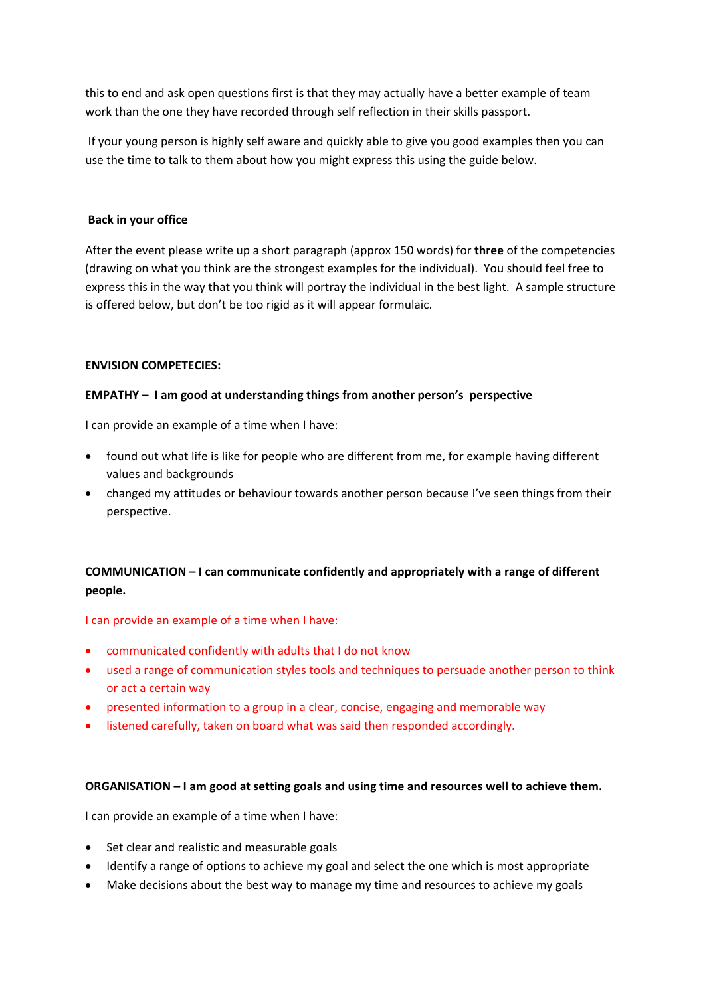this to end and ask open questions first is that they may actually have a better example of team work than the one they have recorded through self reflection in their skills passport.

If your young person is highly self aware and quickly able to give you good examples then you can use the time to talk to them about how you might express this using the guide below.

# **Back in your office**

After the event please write up a short paragraph (approx 150 words) for **three** of the competencies (drawing on what you think are the strongest examples for the individual). You should feel free to express this in the way that you think will portray the individual in the best light. A sample structure is offered below, but don't be too rigid as it will appear formulaic.

### **ENVISION COMPETECIES:**

# **EMPATHY – I am good at understanding things from another person's perspective**

I can provide an example of a time when I have:

- found out what life is like for people who are different from me, for example having different values and backgrounds
- changed my attitudes or behaviour towards another person because I've seen things from their perspective.

# **COMMUNICATION – I can communicate confidently and appropriately with a range of different people.**

### I can provide an example of a time when I have:

- communicated confidently with adults that I do not know
- used a range of communication styles tools and techniques to persuade another person to think or act a certain way
- presented information to a group in a clear, concise, engaging and memorable way
- listened carefully, taken on board what was said then responded accordingly.

### **ORGANISATION – I am good at setting goals and using time and resources well to achieve them.**

I can provide an example of a time when I have:

- Set clear and realistic and measurable goals
- Identify a range of options to achieve my goal and select the one which is most appropriate
- Make decisions about the best way to manage my time and resources to achieve my goals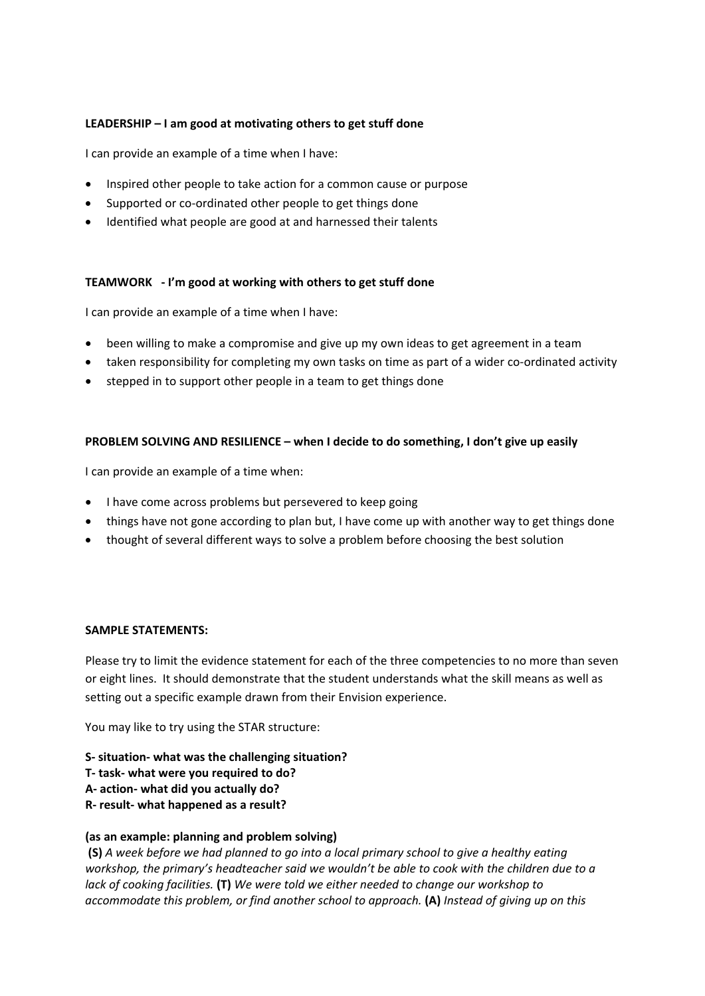# **LEADERSHIP – I am good at motivating others to get stuff done**

I can provide an example of a time when I have:

- Inspired other people to take action for a common cause or purpose
- Supported or co-ordinated other people to get things done
- Identified what people are good at and harnessed their talents

# **TEAMWORK ‐ I'm good at working with others to get stuff done**

I can provide an example of a time when I have:

- been willing to make a compromise and give up my own ideas to get agreement in a team
- taken responsibility for completing my own tasks on time as part of a wider co-ordinated activity
- stepped in to support other people in a team to get things done

### **PROBLEM SOLVING AND RESILIENCE – when I decide to do something, I don't give up easily**

I can provide an example of a time when:

- I have come across problems but persevered to keep going
- things have not gone according to plan but, I have come up with another way to get things done
- thought of several different ways to solve a problem before choosing the best solution

### **SAMPLE STATEMENTS:**

Please try to limit the evidence statement for each of the three competencies to no more than seven or eight lines. It should demonstrate that the student understands what the skill means as well as setting out a specific example drawn from their Envision experience.

You may like to try using the STAR structure:

- **S‐ situation‐ what was the challenging situation?**
- **T‐ task‐ what were you required to do?**
- **A‐ action‐ what did you actually do?**
- **R‐ result‐ what happened as a result?**

### **(as an example: planning and problem solving)**

**(S)** *A week before we had planned to go into a local primary school to give a healthy eating workshop, the primary's headteacher said we wouldn't be able to cook with the children due to a lack of cooking facilities.* **(T)** *We were told we either needed to change our workshop to accommodate this problem, or find another school to approach.* **(A)** *Instead of giving up on this*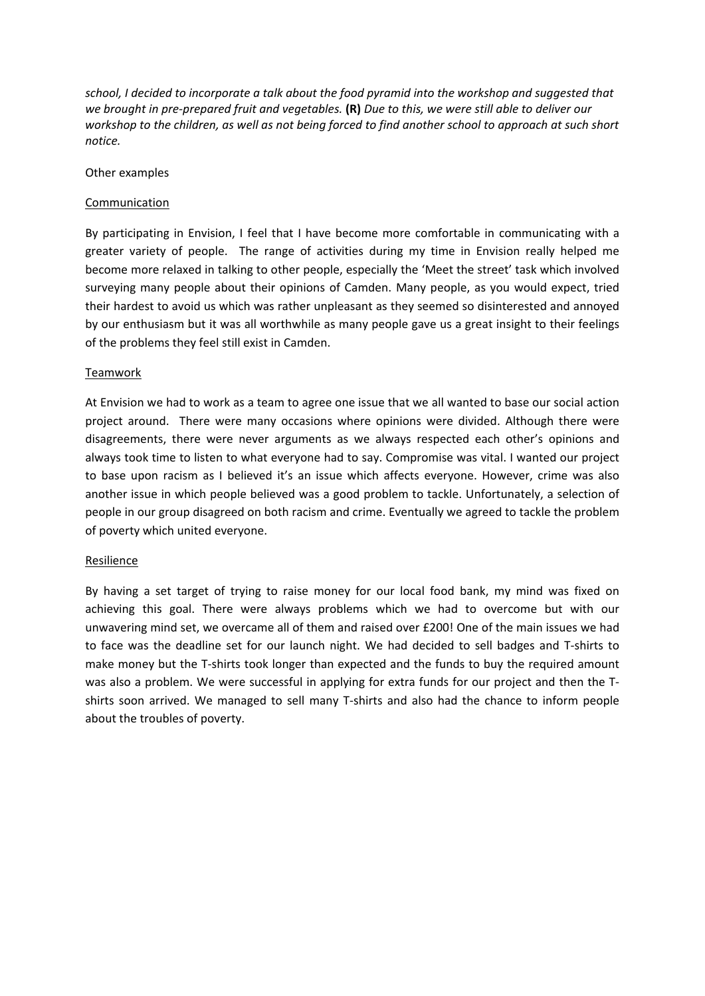*school, I decided to incorporate a talk about the food pyramid into the workshop and suggested that* we brought in pre-prepared fruit and vegetables. (R) Due to this, we were still able to deliver our workshop to the children, as well as not being forced to find another school to approach at such short *notice.*

### Other examples

### Communication

By participating in Envision, I feel that I have become more comfortable in communicating with a greater variety of people. The range of activities during my time in Envision really helped me become more relaxed in talking to other people, especially the 'Meet the street' task which involved surveying many people about their opinions of Camden. Many people, as you would expect, tried their hardest to avoid us which was rather unpleasant as they seemed so disinterested and annoyed by our enthusiasm but it was all worthwhile as many people gave us a great insight to their feelings of the problems they feel still exist in Camden.

### Teamwork

At Envision we had to work as a team to agree one issue that we all wanted to base our social action project around. There were many occasions where opinions were divided. Although there were disagreements, there were never arguments as we always respected each other's opinions and always took time to listen to what everyone had to say. Compromise was vital. I wanted our project to base upon racism as I believed it's an issue which affects everyone. However, crime was also another issue in which people believed was a good problem to tackle. Unfortunately, a selection of people in our group disagreed on both racism and crime. Eventually we agreed to tackle the problem of poverty which united everyone.

#### Resilience

By having a set target of trying to raise money for our local food bank, my mind was fixed on achieving this goal. There were always problems which we had to overcome but with our unwavering mind set, we overcame all of them and raised over £200! One of the main issues we had to face was the deadline set for our launch night. We had decided to sell badges and T‐shirts to make money but the T-shirts took longer than expected and the funds to buy the required amount was also a problem. We were successful in applying for extra funds for our project and then the Tshirts soon arrived. We managed to sell many T-shirts and also had the chance to inform people about the troubles of poverty.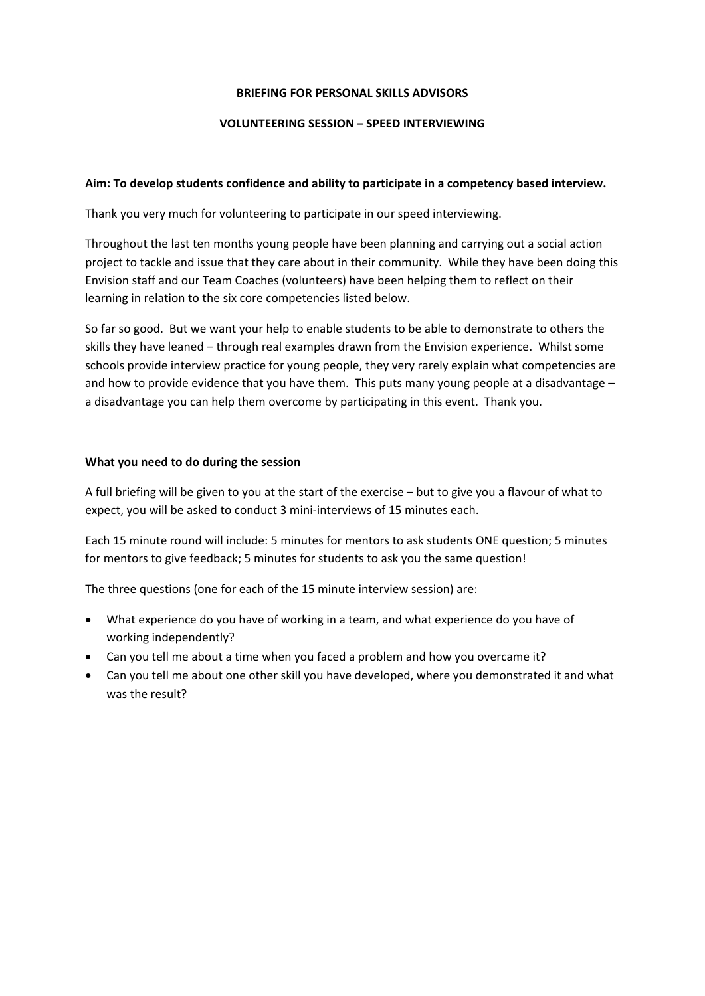### **BRIEFING FOR PERSONAL SKILLS ADVISORS**

### **VOLUNTEERING SESSION – SPEED INTERVIEWING**

### **Aim: To develop students confidence and ability to participate in a competency based interview.**

Thank you very much for volunteering to participate in our speed interviewing.

Throughout the last ten months young people have been planning and carrying out a social action project to tackle and issue that they care about in their community. While they have been doing this Envision staff and our Team Coaches (volunteers) have been helping them to reflect on their learning in relation to the six core competencies listed below.

So far so good. But we want your help to enable students to be able to demonstrate to others the skills they have leaned – through real examples drawn from the Envision experience. Whilst some schools provide interview practice for young people, they very rarely explain what competencies are and how to provide evidence that you have them. This puts many young people at a disadvantage – a disadvantage you can help them overcome by participating in this event. Thank you.

# **What you need to do during the session**

A full briefing will be given to you at the start of the exercise – but to give you a flavour of what to expect, you will be asked to conduct 3 mini‐interviews of 15 minutes each.

Each 15 minute round will include: 5 minutes for mentors to ask students ONE question; 5 minutes for mentors to give feedback; 5 minutes for students to ask you the same question!

The three questions (one for each of the 15 minute interview session) are:

- What experience do you have of working in a team, and what experience do you have of working independently?
- Can you tell me about a time when you faced a problem and how you overcame it?
- Can you tell me about one other skill you have developed, where you demonstrated it and what was the result?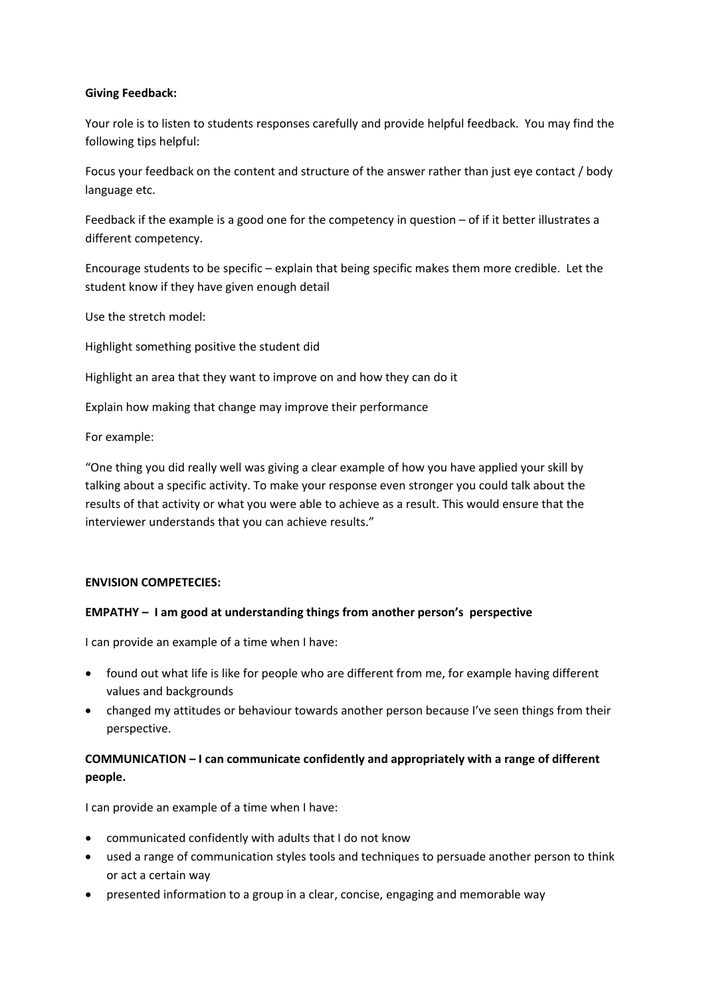### **Giving Feedback:**

Your role is to listen to students responses carefully and provide helpful feedback. You may find the following tips helpful:

Focus your feedback on the content and structure of the answer rather than just eye contact / body language etc.

Feedback if the example is a good one for the competency in question – of if it better illustrates a different competency.

Encourage students to be specific – explain that being specific makes them more credible. Let the student know if they have given enough detail

Use the stretch model:

Highlight something positive the student did

Highlight an area that they want to improve on and how they can do it

Explain how making that change may improve their performance

For example:

"One thing you did really well was giving a clear example of how you have applied your skill by talking about a specific activity. To make your response even stronger you could talk about the results of that activity or what you were able to achieve as a result. This would ensure that the interviewer understands that you can achieve results."

### **ENVISION COMPETECIES:**

### **EMPATHY – I am good at understanding things from another person's perspective**

I can provide an example of a time when I have:

- found out what life is like for people who are different from me, for example having different values and backgrounds
- changed my attitudes or behaviour towards another person because I've seen things from their perspective.

# **COMMUNICATION – I can communicate confidently and appropriately with a range of different people.**

I can provide an example of a time when I have:

- communicated confidently with adults that I do not know
- used a range of communication styles tools and techniques to persuade another person to think or act a certain way
- presented information to a group in a clear, concise, engaging and memorable way